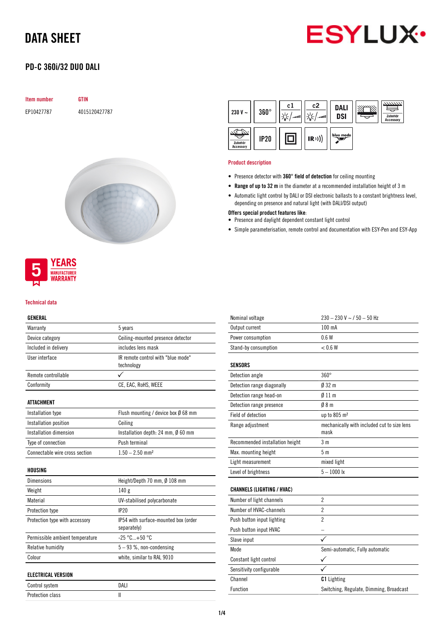

## PD-C 360i/32 DUO DALI

| <b>Item number</b> | <b>GTIN</b>   |
|--------------------|---------------|
| EP10427787         | 4015120427787 |





#### Technical data

#### GENERAL

| Warranty                                    | 5 years                                             |
|---------------------------------------------|-----------------------------------------------------|
| Device category                             | Ceiling-mounted presence detector                   |
| Included in delivery                        | includes lens mask                                  |
| User interface                              | IR remote control with "blue mode"<br>technology    |
| Remote controllable                         |                                                     |
| Conformity                                  | CE, EAC, RoHS, WEEE                                 |
| <b>ATTACHMENT</b>                           |                                                     |
| Installation type                           | Flush mounting / device box $\emptyset$ 68 mm       |
| Installation position                       | Ceiling                                             |
| <b>Installation dimension</b>               | Installation depth: 24 mm, Ø 60 mm                  |
| Type of connection                          | Push terminal                                       |
| Connectable wire cross section              | $1.50 - 2.50$ mm <sup>2</sup>                       |
| HOUSING                                     |                                                     |
| <b>Dimensions</b>                           | Height/Depth 70 mm, Ø 108 mm                        |
| Weight                                      | 140g                                                |
| Material                                    | UV-stabilised polycarbonate                         |
| Protection type                             | IP20                                                |
| Protection type with accessory              | IP54 with surface-mounted box (order<br>separately) |
| Permissible ambient temperature             | $-25 °C+50 °C$                                      |
| Relative humidity                           | $5 - 93$ %, non-condensing                          |
| Colour                                      | white, similar to RAL 9010                          |
|                                             |                                                     |
| <b>ELECTRICAL VERSION</b><br>Control svetam | <b>DALI</b>                                         |
|                                             |                                                     |

| Control system   | DALI |
|------------------|------|
| Protection class |      |

| 230 V $\sim$                | $360^\circ$ | c1<br>اللعب | c2<br>ر ا د<br>اللعب | <b>DALI</b><br><b>DSI</b> | 7777777.<br>Zubehör<br><b>Accessory</b> |
|-----------------------------|-------------|-------------|----------------------|---------------------------|-----------------------------------------|
| Zubehör<br><b>Accessory</b> | <b>IP20</b> |             | (R))                 | blue mode                 |                                         |

#### Product description

- Presence detector with 360° field of detection for ceiling mounting
- Range of up to 32 m in the diameter at a recommended installation height of 3 m
- Automatic light control by DALI or DSI electronic ballasts to a constant brightness level, depending on presence and natural light (with DALI/DSI output)

#### Offers special product features like:

- Presence and daylight dependent constant light control
- Simple parameterisation, remote control and documentation with ESY-Pen and ESY-App

| Nominal voltage                   | $230 - 230$ V ~ / 50 - 50 Hz                        |
|-----------------------------------|-----------------------------------------------------|
| Output current                    | $100 \text{ mA}$                                    |
| Power consumption                 | 0.6W                                                |
| Stand-by consumption              | < 0.6 W                                             |
|                                   |                                                     |
| <b>SENSORS</b>                    |                                                     |
| Detection angle                   | $360^\circ$                                         |
| Detection range diagonally        | 032 <sub>m</sub>                                    |
| Detection range head-on           | $\emptyset$ 11 m                                    |
| Detection range presence          | 08 <sub>m</sub>                                     |
| Field of detection                | up to 805 m <sup>2</sup>                            |
| Range adjustment                  | mechanically with included cut to size lens<br>mask |
| Recommended installation height   | 3 m                                                 |
| Max. mounting height              | 5m                                                  |
| Light measurement                 | mixed light                                         |
| Level of brightness               | $5 - 1000$ lx                                       |
|                                   |                                                     |
| <b>CHANNELS (LIGHTING / HVAC)</b> |                                                     |
| Number of light channels          | $\overline{2}$                                      |
| Number of HVAC-channels           | $\overline{2}$                                      |
| Push button input lighting        | $\overline{2}$                                      |
| Push button input HVAC            | $\equiv$                                            |
| Slave input                       |                                                     |
| Mode                              | Semi-automatic, Fully automatic                     |
| Constant light control            |                                                     |
| Sensitivity configurable          |                                                     |
| Channel                           | <b>C1</b> Lighting                                  |
| Function                          | Switching, Regulate, Dimming, Broadcast             |
|                                   |                                                     |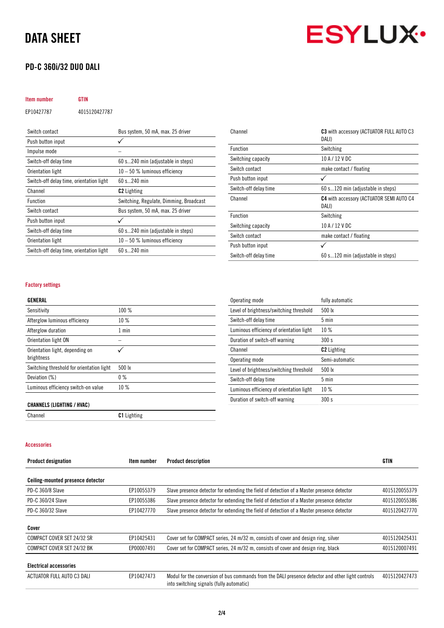## PD-C 360i/32 DUO DALI

# **ESYLUX·**

## Item number GTIN EP10427787 4015120427787 Switch contact Bus system, 50 mA, max. 25 driver Push button input  $\checkmark$

| Impulse mode                             |                                         |
|------------------------------------------|-----------------------------------------|
| Switch-off delay time                    | 60 s240 min (adjustable in steps)       |
| Orientation light                        | $10 - 50$ % luminous efficiency         |
| Switch-off delay time, orientation light | $60 s$ 240 min                          |
| Channel                                  | <b>C2</b> Lighting                      |
| <b>Function</b>                          | Switching, Regulate, Dimming, Broadcast |
| Switch contact                           | Bus system, 50 mA, max. 25 driver       |
| Push button input                        |                                         |
| Switch-off delay time                    | 60 s240 min (adjustable in steps)       |
| Orientation light                        | $10 - 50$ % luminous efficiency         |
| Switch-off delay time, orientation light | $60 s$ 240 min                          |
|                                          |                                         |

| Channel               | C3 with accessory (ACTUATOR FULL AUTO C3<br>DALI)        |
|-----------------------|----------------------------------------------------------|
| Function              | Switching                                                |
| Switching capacity    | 10 A / 12 V DC                                           |
| Switch contact        | make contact / floating                                  |
| Push button input     |                                                          |
| Switch-off delay time | 60 s120 min (adjustable in steps)                        |
| Channel               | <b>C4</b> with accessory (ACTUATOR SEMI AUTO C4<br>DALI) |
| <b>Function</b>       | Switching                                                |
| Switching capacity    | 10 A / 12 V DC                                           |
| Switch contact        | make contact / floating                                  |
| Push button input     |                                                          |
| Switch-off delay time | 60 s120 min (adjustable in steps)                        |

#### Factory settings

| Sensitivity                                   | 100 %           |
|-----------------------------------------------|-----------------|
| Afterglow luminous efficiency                 | 10%             |
| Afterglow duration                            | 1 min           |
| Orientation light ON                          |                 |
| Orientation light, depending on<br>brightness |                 |
| Switching threshold for orientation light     | $500 \text{lx}$ |
| Deviation (%)                                 | $0\%$           |
| Luminous efficiency switch-on value           | 10%             |

| Operating mode                           | fully automatic    |
|------------------------------------------|--------------------|
| Level of brightness/switching threshold  | $500 \text{ kg}$   |
| Switch-off delay time                    | $5 \text{ min}$    |
| Luminous efficiency of orientation light | 10%                |
| Duration of switch-off warning           | 300 s              |
| Channel                                  | <b>C2</b> Lighting |
| Operating mode                           | Semi-automatic     |
| Level of brightness/switching threshold  | $500 \text{ lx}$   |
| Switch-off delay time                    | $5 \text{ min}$    |
| Luminous efficiency of orientation light | 10%                |
| Duration of switch-off warning           | 300 s              |

#### CHANNELS (LIGHTING / HVAC)

Channel C1 Lighting

#### Accessories

| <b>Product designation</b>        | Item number | <b>Product description</b>                                                                                                                    | GTIN          |
|-----------------------------------|-------------|-----------------------------------------------------------------------------------------------------------------------------------------------|---------------|
| Ceiling-mounted presence detector |             |                                                                                                                                               |               |
| PD-C 360/8 Slave                  | EP10055379  | Slave presence detector for extending the field of detection of a Master presence detector                                                    | 4015120055379 |
| PD-C 360/24 Slave                 | EP10055386  | Slave presence detector for extending the field of detection of a Master presence detector                                                    | 4015120055386 |
| PD-C 360/32 Slave                 | EP10427770  | Slave presence detector for extending the field of detection of a Master presence detector                                                    | 4015120427770 |
| Cover                             |             |                                                                                                                                               |               |
| COMPACT COVER SET 24/32 SR        | EP10425431  | Cover set for COMPACT series, 24 m/32 m, consists of cover and design ring, silver                                                            | 4015120425431 |
| COMPACT COVER SET 24/32 BK        | EP00007491  | Cover set for COMPACT series, 24 m/32 m, consists of cover and design ring, black                                                             | 4015120007491 |
| <b>Electrical accessories</b>     |             |                                                                                                                                               |               |
| ACTUATOR FULL AUTO C3 DALI        | EP10427473  | Modul for the conversion of bus commands from the DALI presence detector and other light controls<br>into switching signals (fully automatic) | 4015120427473 |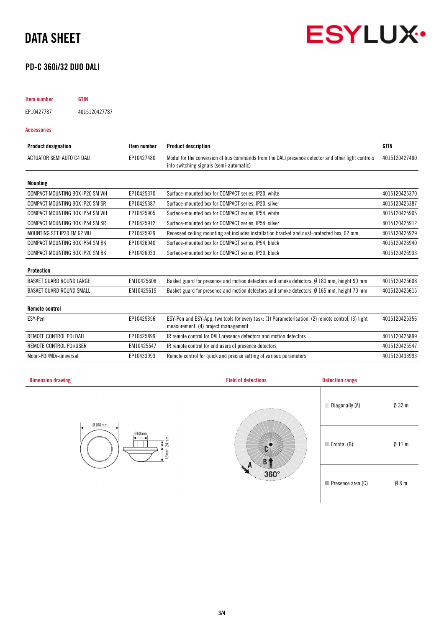

## PD-C 360i/32 DUO DALI

## Item number GTIN EP10427787 4015120427787

Accessories

| <b>Product designation</b>      | Item number | <b>Product description</b>                                                                                                                   | <b>GTIN</b>   |
|---------------------------------|-------------|----------------------------------------------------------------------------------------------------------------------------------------------|---------------|
| ACTUATOR SEMI AUTO C4 DALI      | EP10427480  | Modul for the conversion of bus commands from the DALI presence detector and other light controls<br>into switching signals (semi-automatic) | 4015120427480 |
| <b>Mounting</b>                 |             |                                                                                                                                              |               |
| COMPACT MOUNTING BOX IP20 SM WH | EP10425370  | Surface-mounted box for COMPACT series, IP20, white                                                                                          | 4015120425370 |
| COMPACT MOUNTING BOX IP20 SM SR | EP10425387  | Surface-mounted box for COMPACT series, IP20, silver                                                                                         | 4015120425387 |
| COMPACT MOUNTING BOX IP54 SM WH | EP10425905  | Surface-mounted box for COMPACT series, IP54, white                                                                                          | 4015120425905 |
| COMPACT MOUNTING BOX IP54 SM SR | EP10425912  | Surface-mounted box for COMPACT series, IP54, silver                                                                                         | 4015120425912 |
| MOUNTING SET IP20 FM 62 WH      | EP10425929  | Recessed ceiling mounting set includes installation bracket and dust-protected box, 62 mm                                                    | 4015120425929 |
| COMPACT MOUNTING BOX IP54 SM BK | EP10426940  | Surface-mounted box for COMPACT series, IP54, black                                                                                          | 4015120426940 |
| COMPACT MOUNTING BOX IP20 SM BK | EP10426933  | Surface-mounted box for COMPACT series, IP20, black                                                                                          | 4015120426933 |
| Protection                      |             |                                                                                                                                              |               |
| <b>BASKET GUARD ROUND LARGE</b> | EM10425608  | Basket guard for presence and motion detectors and smoke detectors, $\emptyset$ 180 mm, height 90 mm                                         | 4015120425608 |
| BASKET GUARD ROUND SMALL        | EM10425615  | Basket guard for presence and motion detectors and smoke detectors, Ø 165 mm, height 70 mm                                                   | 4015120425615 |
| <b>Remote control</b>           |             |                                                                                                                                              |               |
| ESY-Pen                         | EP10425356  | ESY-Pen and ESY-App, two tools for every task: (1) Parameterisation, (2) remote control, (3) light<br>measurement, (4) project management    | 4015120425356 |
| REMOTE CONTROL PDi DALI         | EP10425899  | IR remote control for DALI presence detectors and motion detectors                                                                           | 4015120425899 |
| REMOTE CONTROL PDI/USER         | EM10425547  | IR remote control for end users of presence detectors                                                                                        | 4015120425547 |
| Mobil-PDi/MDi-universal         | EP10433993  | Remote control for quick and precise setting of various parameters                                                                           | 4015120433993 |

| <b>Dimension drawing</b>               | <b>Field of detections</b>      | <b>Detection range</b>           |                  |
|----------------------------------------|---------------------------------|----------------------------------|------------------|
| $Ø$ 108 mm                             | 499202                          | Diagonally (A)                   | $\emptyset$ 32 m |
| $060$ mm<br>$24 \text{ mm}$<br>$46$ mm |                                 | $\blacksquare$ Frontal (B)       | Ø11 m            |
|                                        | $360^\circ$<br><b>Concerned</b> | $\blacksquare$ Presence area (C) | Ø8m              |